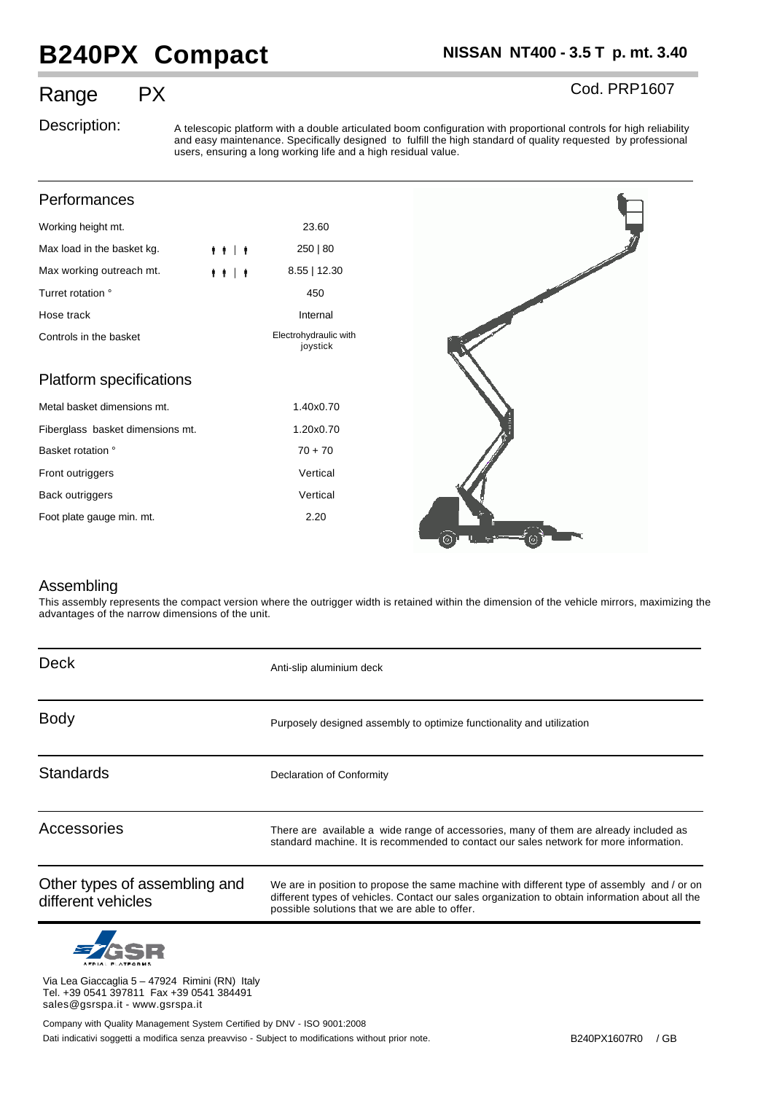## **B240PX Compact NISSAN NT400 - 3.5 T p. mt. 3.40**

Cod. PRP1607

## Range PX

Description: A telescopic platform with a double articulated boom configuration with proportional controls for high reliability and easy maintenance. Specifically designed to fulfill the high standard of quality requested by professional users, ensuring a long working life and a high residual value.

| Performances                     |         |                                   |   |
|----------------------------------|---------|-----------------------------------|---|
| Working height mt.               |         | 23.60                             |   |
| Max load in the basket kg.       | $+ + +$ | 250   80                          |   |
| Max working outreach mt.         | $+ + +$ | 8.55   12.30                      |   |
| Turret rotation °                |         | 450                               |   |
| Hose track                       |         | Internal                          |   |
| Controls in the basket           |         | Electrohydraulic with<br>joystick |   |
| Platform specifications          |         |                                   |   |
| Metal basket dimensions mt.      |         | 1.40x0.70                         |   |
| Fiberglass basket dimensions mt. |         | 1.20x0.70                         |   |
| Basket rotation °                |         | $70 + 70$                         |   |
| Front outriggers                 |         | Vertical                          |   |
| Back outriggers                  |         | Vertical                          |   |
| Foot plate gauge min. mt.        |         | 2.20                              | ര |

## Assembling

This assembly represents the compact version where the outrigger width is retained within the dimension of the vehicle mirrors, maximizing the advantages of the narrow dimensions of the unit.

| <b>Deck</b>                                         | Anti-slip aluminium deck                                                                                                                                                                                                                       |  |  |
|-----------------------------------------------------|------------------------------------------------------------------------------------------------------------------------------------------------------------------------------------------------------------------------------------------------|--|--|
| <b>Body</b>                                         | Purposely designed assembly to optimize functionality and utilization                                                                                                                                                                          |  |  |
| <b>Standards</b>                                    | Declaration of Conformity                                                                                                                                                                                                                      |  |  |
| Accessories                                         | There are available a wide range of accessories, many of them are already included as<br>standard machine. It is recommended to contact our sales network for more information.                                                                |  |  |
| Other types of assembling and<br>different vehicles | We are in position to propose the same machine with different type of assembly and / or on<br>different types of vehicles. Contact our sales organization to obtain information about all the<br>possible solutions that we are able to offer. |  |  |



Via Lea Giaccaglia 5 – 47924 Rimini (RN) Italy Tel. +39 0541 397811 Fax +39 0541 384491 sales@gsrspa.it - www.gsrspa.it

Dati indicativi soggetti a modifica senza preavviso - Subject to modifications without prior note. B240PX1607R0 / GB Company with Quality Management System Certified by DNV - ISO 9001:2008